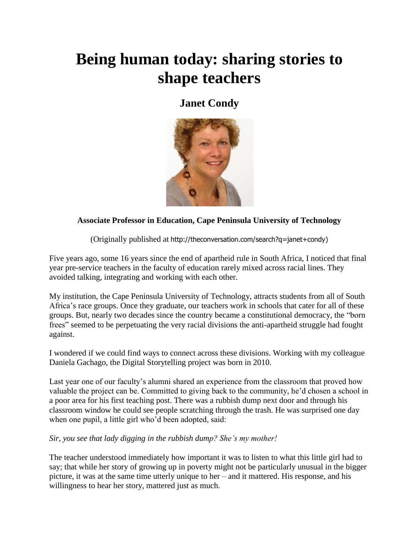# **Being human today: sharing stories to shape teachers**

### **[Janet Condy](http://theconversation.com/profiles/janet-condy-162564)**



#### **Associate Professor in Education, Cape Peninsula University of Technology**

(Originally published at [http://theconversation.com/search?q=janet+condy\)](http://theconversation.com/search?q=janet+condy)

Five years ago, some 16 years since the end of apartheid rule in South Africa, I noticed that final year pre-service teachers in the faculty of education rarely mixed across racial lines. They avoided talking, integrating and working with each other.

My institution, the Cape Peninsula University of Technology, attracts students from all of South Africa's [race groups.](http://www.apartheidmuseum.org/race-classification) Once they graduate, our teachers work in schools that cater for all of these groups. But, nearly two decades since the country became a constitutional democracy, the ["born](http://www.bbc.com/news/world-africa-27146976)  [frees"](http://www.bbc.com/news/world-africa-27146976) seemed to be perpetuating the very racial divisions the anti-apartheid struggle had fought against.

I wondered if we could find ways to connect across these divisions. Working with my colleague Daniela Gachago, the Digital Storytelling project was born in 2010.

Last year one of our faculty's alumni shared an experience from the classroom that proved how valuable the project can be. Committed to giving back to the community, he'd chosen a school in a poor area for his first teaching post. There was a rubbish dump next door and through his classroom window he could see people scratching through the trash. He was surprised one day when one pupil, a little girl who'd been adopted, said:

#### *Sir, you see that lady digging in the rubbish dump? She's my mother!*

The teacher understood immediately how important it was to listen to what this little girl had to say; that while her story of growing up in poverty might not be particularly unusual in the bigger picture, it was at the same time utterly unique to her – and it mattered. His response, and his willingness to hear her story, mattered just as much.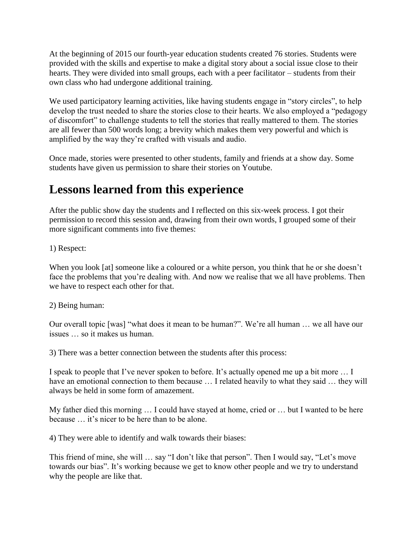At the beginning of 2015 our fourth-year education students created 76 stories. Students were provided with the skills and expertise to make a digital story about a social issue close to their hearts. They were divided into small groups, each with a peer facilitator – students from their own class who had undergone additional training.

We used participatory learning activities, like having students engage in "story circles", to help develop the trust needed to share the stories close to their hearts. We also employed a "pedagogy of discomfort" to challenge students to tell the stories that really mattered to them. The stories are all fewer than 500 words long; a brevity which makes them very powerful and which is amplified by the way they're crafted with visuals and audio.

Once made, stories were presented to other students, family and friends at a show day. Some students have given us permission to share their stories on Youtube.

## **Lessons learned from this experience**

After the public show day the students and I reflected on this six-week process. I got their permission to record this session and, drawing from their own words, I grouped some of their more significant comments into five themes:

1) Respect:

When you look [at] someone like a coloured or a white person, you think that he or she doesn't face the problems that you're dealing with. And now we realise that we all have problems. Then we have to respect each other for that.

#### 2) Being human:

Our overall topic [was] "what does it mean to be human?". We're all human … we all have our issues … so it makes us human.

3) There was a better connection between the students after this process:

I speak to people that I've never spoken to before. It's actually opened me up a bit more … I have an emotional connection to them because ... I related heavily to what they said ... they will always be held in some form of amazement.

My father died this morning … I could have stayed at home, cried or … but I wanted to be here because it's nicer to be here than to be alone.

4) They were able to identify and walk towards their biases:

This friend of mine, she will … say "I don't like that person". Then I would say, "Let's move towards our bias". It's working because we get to know other people and we try to understand why the people are like that.